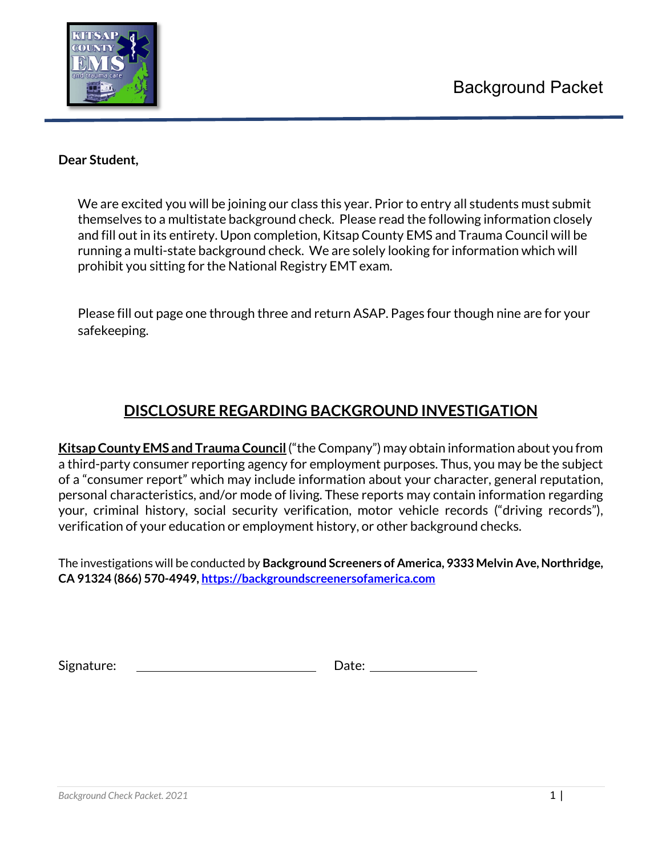

## **Dear Student,**

We are excited you will be joining our class this year. Prior to entry all students must submit themselves to a multistate background check. Please read the following information closely and fill out in its entirety. Upon completion, Kitsap County EMS and Trauma Council will be running a multi-state background check. We are solely looking for information which will prohibit you sitting for the National Registry EMT exam.

Please fill out page one through three and return ASAP. Pages four though nine are for your safekeeping.

## **DISCLOSURE REGARDING BACKGROUND INVESTIGATION**

**Kitsap County EMS and Trauma Council** ("the Company") may obtain information about you from a third-party consumer reporting agency for employment purposes. Thus, you may be the subject of a "consumer report" which may include information about your character, general reputation, personal characteristics, and/or mode of living. These reports may contain information regarding your, criminal history, social security verification, motor vehicle records ("driving records"), verification of your education or employment history, or other background checks.

The investigations will be conducted by **Background Screeners of America, 9333 Melvin Ave, Northridge, CA 91324 (866) 570-4949[, https://backgroundscreenersofamerica.com](https://backgroundscreenersofamerica.com/)**

Signature:

| Date:<br>____ |  |
|---------------|--|
|               |  |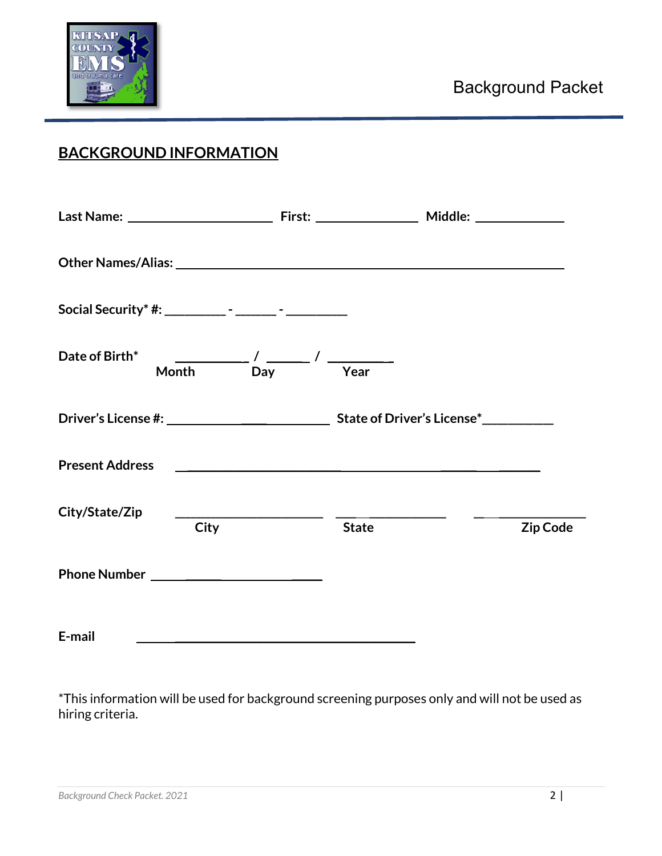

# **BACKGROUND INFORMATION**

| Date of Birth*         | $\begin{array}{c c c c} & \begin{array}{c c} & \end{array} & \begin{array}{c c} \end{array} & \begin{array}{c c} \end{array} & \begin{array}{c c} \end{array} & \begin{array}{c c} \end{array} & \begin{array}{c c} \end{array} & \begin{array}{c c} \end{array} & \begin{array}{c c} \end{array} & \begin{array}{c c} \end{array} & \begin{array}{c c} \end{array} & \begin{array}{c c} \end{array} & \begin{array}{c c} \end{array} & \begin{array}{c c} \end{array} & \begin{array}{c c} \$ |              |                 |
|------------------------|------------------------------------------------------------------------------------------------------------------------------------------------------------------------------------------------------------------------------------------------------------------------------------------------------------------------------------------------------------------------------------------------------------------------------------------------------------------------------------------------|--------------|-----------------|
|                        |                                                                                                                                                                                                                                                                                                                                                                                                                                                                                                |              |                 |
| <b>Present Address</b> |                                                                                                                                                                                                                                                                                                                                                                                                                                                                                                |              |                 |
| City/State/Zip         | City                                                                                                                                                                                                                                                                                                                                                                                                                                                                                           | <b>State</b> | <b>Zip Code</b> |
|                        |                                                                                                                                                                                                                                                                                                                                                                                                                                                                                                |              |                 |
| E-mail                 |                                                                                                                                                                                                                                                                                                                                                                                                                                                                                                |              |                 |

\*This information will be used for background screening purposes only and will not be used as hiring criteria.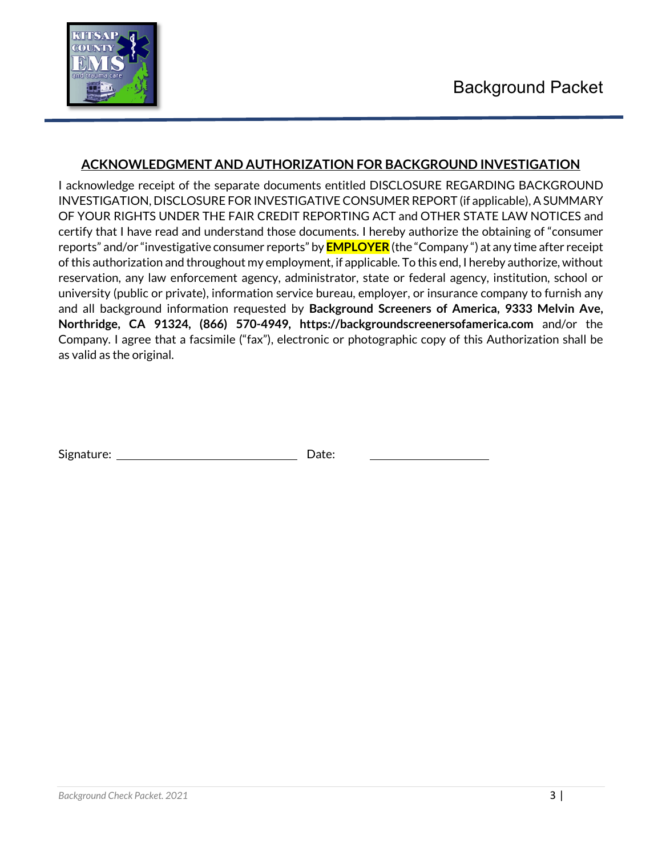

## **ACKNOWLEDGMENT AND AUTHORIZATION FOR BACKGROUND INVESTIGATION**

I acknowledge receipt of the separate documents entitled DISCLOSURE REGARDING BACKGROUND INVESTIGATION, DISCLOSURE FOR INVESTIGATIVE CONSUMER REPORT (if applicable), A SUMMARY OF YOUR RIGHTS UNDER THE FAIR CREDIT REPORTING ACT and OTHER STATE LAW NOTICES and certify that I have read and understand those documents. I hereby authorize the obtaining of "consumer reports" and/or "investigative consumer reports" by **EMPLOYER**(the "Company ") at any time after receipt of this authorization and throughout my employment, if applicable. To this end, I hereby authorize, without reservation, any law enforcement agency, administrator, state or federal agency, institution, school or university (public or private), information service bureau, employer, or insurance company to furnish any and all background information requested by **Background Screeners of America, 9333 Melvin Ave, Northridge, CA 91324, (866) 570-4949, https://backgroundscreenersofamerica.com** and/or the Company. I agree that a facsimile ("fax"), electronic or photographic copy of this Authorization shall be as valid as the original.

Signature: Date: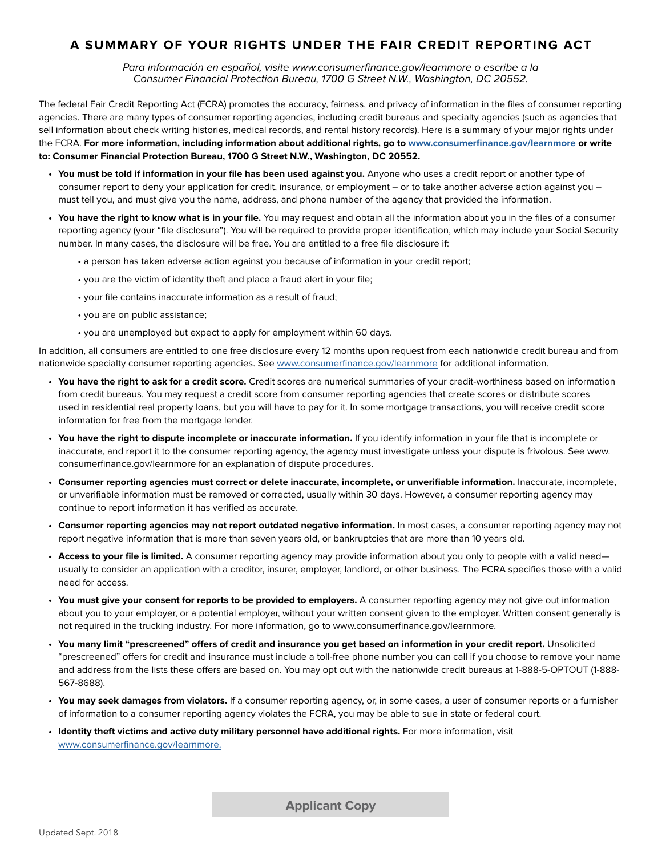### **A SUMMARY OF YOUR RIGHTS UNDER THE FAIR CREDIT REPORTING ACT**

Para información en español, visite www.consumerfinance.gov/learnmore o escribe a la Consumer Financial Protection Bureau, 1700 G Street N.W., Washington, DC 20552.

The federal Fair Credit Reporting Act (FCRA) promotes the accuracy, fairness, and privacy of information in the files of consumer reporting agencies. There are many types of consumer reporting agencies, including credit bureaus and specialty agencies (such as agencies that sell information about check writing histories, medical records, and rental history records). Here is a summary of your major rights under the FCRA. **For more information, including information about additional rights, go to [www.consumerfinance.gov/learnmore](http://www.consumerfinance.gov/learnmore) or write to: Consumer Financial Protection Bureau, 1700 G Street N.W., Washington, DC 20552.**

- **• You must be told if information in your file has been used against you.** Anyone who uses a credit report or another type of consumer report to deny your application for credit, insurance, or employment – or to take another adverse action against you – must tell you, and must give you the name, address, and phone number of the agency that provided the information.
- **• You have the right to know what is in your file.** You may request and obtain all the information about you in the files of a consumer reporting agency (your "file disclosure"). You will be required to provide proper identification, which may include your Social Security number. In many cases, the disclosure will be free. You are entitled to a free file disclosure if:
	- a person has taken adverse action against you because of information in your credit report;
	- you are the victim of identity theft and place a fraud alert in your file;
	- your file contains inaccurate information as a result of fraud;
	- you are on public assistance;
	- you are unemployed but expect to apply for employment within 60 days.

In addition, all consumers are entitled to one free disclosure every 12 months upon request from each nationwide credit bureau and from nationwide specialty consumer reporting agencies. See [www.consumerfinance.gov/learnmore](http://www.consumerfinance.gov/learnmore) for additional information.

- **• You have the right to ask for a credit score.** Credit scores are numerical summaries of your credit-worthiness based on information from credit bureaus. You may request a credit score from consumer reporting agencies that create scores or distribute scores used in residential real property loans, but you will have to pay for it. In some mortgage transactions, you will receive credit score information for free from the mortgage lender.
- **• You have the right to dispute incomplete or inaccurate information.** If you identify information in your file that is incomplete or inaccurate, and report it to the consumer reporting agency, the agency must investigate unless your dispute is frivolous. See www. consumerfinance.gov/learnmore for an explanation of dispute procedures.
- **• Consumer reporting agencies must correct or delete inaccurate, incomplete, or unverifiable information.** Inaccurate, incomplete, or unverifiable information must be removed or corrected, usually within 30 days. However, a consumer reporting agency may continue to report information it has verified as accurate.
- **• Consumer reporting agencies may not report outdated negative information.** In most cases, a consumer reporting agency may not report negative information that is more than seven years old, or bankruptcies that are more than 10 years old.
- **• Access to your file is limited.** A consumer reporting agency may provide information about you only to people with a valid need usually to consider an application with a creditor, insurer, employer, landlord, or other business. The FCRA specifies those with a valid need for access.
- **• You must give your consent for reports to be provided to employers.** A consumer reporting agency may not give out information about you to your employer, or a potential employer, without your written consent given to the employer. Written consent generally is not required in the trucking industry. For more information, go to www.consumerfinance.gov/learnmore.
- **• You many limit "prescreened" offers of credit and insurance you get based on information in your credit report.** Unsolicited "prescreened" offers for credit and insurance must include a toll-free phone number you can call if you choose to remove your name and address from the lists these offers are based on. You may opt out with the nationwide credit bureaus at 1-888-5-OPTOUT (1-888- 567-8688).
- **• You may seek damages from violators.** If a consumer reporting agency, or, in some cases, a user of consumer reports or a furnisher of information to a consumer reporting agency violates the FCRA, you may be able to sue in state or federal court.
- **• Identity theft victims and active duty military personnel have additional rights.** For more information, visit [www.consumerfinance.gov/learnmore.](http://www.consumerfinance.gov/learnmore.)

**Applicant Copy**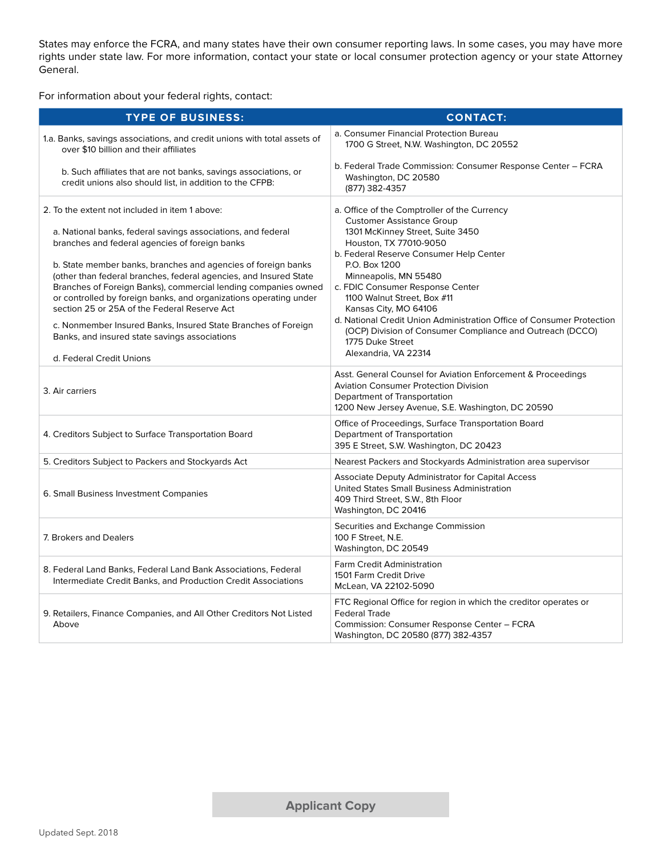States may enforce the FCRA, and many states have their own consumer reporting laws. In some cases, you may have more rights under state law. For more information, contact your state or local consumer protection agency or your state Attorney General.

For information about your federal rights, contact:

| <b>TYPE OF BUSINESS:</b>                                                                                                                                                                                                                                                                                                                                                                                                                                                                                                                                                                                                                    | <b>CONTACT:</b>                                                                                                                                                                                                                                                                                                                                                                                                                                                                                                   |  |
|---------------------------------------------------------------------------------------------------------------------------------------------------------------------------------------------------------------------------------------------------------------------------------------------------------------------------------------------------------------------------------------------------------------------------------------------------------------------------------------------------------------------------------------------------------------------------------------------------------------------------------------------|-------------------------------------------------------------------------------------------------------------------------------------------------------------------------------------------------------------------------------------------------------------------------------------------------------------------------------------------------------------------------------------------------------------------------------------------------------------------------------------------------------------------|--|
| 1.a. Banks, savings associations, and credit unions with total assets of<br>over \$10 billion and their affiliates                                                                                                                                                                                                                                                                                                                                                                                                                                                                                                                          | a. Consumer Financial Protection Bureau<br>1700 G Street, N.W. Washington, DC 20552                                                                                                                                                                                                                                                                                                                                                                                                                               |  |
| b. Such affiliates that are not banks, savings associations, or<br>credit unions also should list, in addition to the CFPB:                                                                                                                                                                                                                                                                                                                                                                                                                                                                                                                 | b. Federal Trade Commission: Consumer Response Center - FCRA<br>Washington, DC 20580<br>(877) 382-4357                                                                                                                                                                                                                                                                                                                                                                                                            |  |
| 2. To the extent not included in item 1 above:<br>a. National banks, federal savings associations, and federal<br>branches and federal agencies of foreign banks<br>b. State member banks, branches and agencies of foreign banks<br>(other than federal branches, federal agencies, and Insured State<br>Branches of Foreign Banks), commercial lending companies owned<br>or controlled by foreign banks, and organizations operating under<br>section 25 or 25A of the Federal Reserve Act<br>c. Nonmember Insured Banks, Insured State Branches of Foreign<br>Banks, and insured state savings associations<br>d. Federal Credit Unions | a. Office of the Comptroller of the Currency<br><b>Customer Assistance Group</b><br>1301 McKinney Street, Suite 3450<br>Houston, TX 77010-9050<br>b. Federal Reserve Consumer Help Center<br>P.O. Box 1200<br>Minneapolis, MN 55480<br>c. FDIC Consumer Response Center<br>1100 Walnut Street, Box #11<br>Kansas City, MO 64106<br>d. National Credit Union Administration Office of Consumer Protection<br>(OCP) Division of Consumer Compliance and Outreach (DCCO)<br>1775 Duke Street<br>Alexandria, VA 22314 |  |
|                                                                                                                                                                                                                                                                                                                                                                                                                                                                                                                                                                                                                                             | Asst. General Counsel for Aviation Enforcement & Proceedings                                                                                                                                                                                                                                                                                                                                                                                                                                                      |  |
| 3. Air carriers                                                                                                                                                                                                                                                                                                                                                                                                                                                                                                                                                                                                                             | <b>Aviation Consumer Protection Division</b><br>Department of Transportation<br>1200 New Jersey Avenue, S.E. Washington, DC 20590                                                                                                                                                                                                                                                                                                                                                                                 |  |
| 4. Creditors Subject to Surface Transportation Board                                                                                                                                                                                                                                                                                                                                                                                                                                                                                                                                                                                        | Office of Proceedings, Surface Transportation Board<br>Department of Transportation<br>395 E Street, S.W. Washington, DC 20423                                                                                                                                                                                                                                                                                                                                                                                    |  |
| 5. Creditors Subject to Packers and Stockyards Act                                                                                                                                                                                                                                                                                                                                                                                                                                                                                                                                                                                          | Nearest Packers and Stockyards Administration area supervisor                                                                                                                                                                                                                                                                                                                                                                                                                                                     |  |
| 6. Small Business Investment Companies                                                                                                                                                                                                                                                                                                                                                                                                                                                                                                                                                                                                      | <b>Associate Deputy Administrator for Capital Access</b><br>United States Small Business Administration<br>409 Third Street, S.W., 8th Floor<br>Washington, DC 20416                                                                                                                                                                                                                                                                                                                                              |  |
| 7. Brokers and Dealers                                                                                                                                                                                                                                                                                                                                                                                                                                                                                                                                                                                                                      | Securities and Exchange Commission<br>100 F Street, N.E.<br>Washington, DC 20549                                                                                                                                                                                                                                                                                                                                                                                                                                  |  |
| 8. Federal Land Banks, Federal Land Bank Associations, Federal<br>Intermediate Credit Banks, and Production Credit Associations                                                                                                                                                                                                                                                                                                                                                                                                                                                                                                             | Farm Credit Administration<br>1501 Farm Credit Drive<br>McLean, VA 22102-5090                                                                                                                                                                                                                                                                                                                                                                                                                                     |  |
| 9. Retailers, Finance Companies, and All Other Creditors Not Listed<br>Above                                                                                                                                                                                                                                                                                                                                                                                                                                                                                                                                                                | FTC Regional Office for region in which the creditor operates or<br><b>Federal Trade</b><br>Commission: Consumer Response Center - FCRA<br>Washington, DC 20580 (877) 382-4357                                                                                                                                                                                                                                                                                                                                    |  |

**Applicant Copy**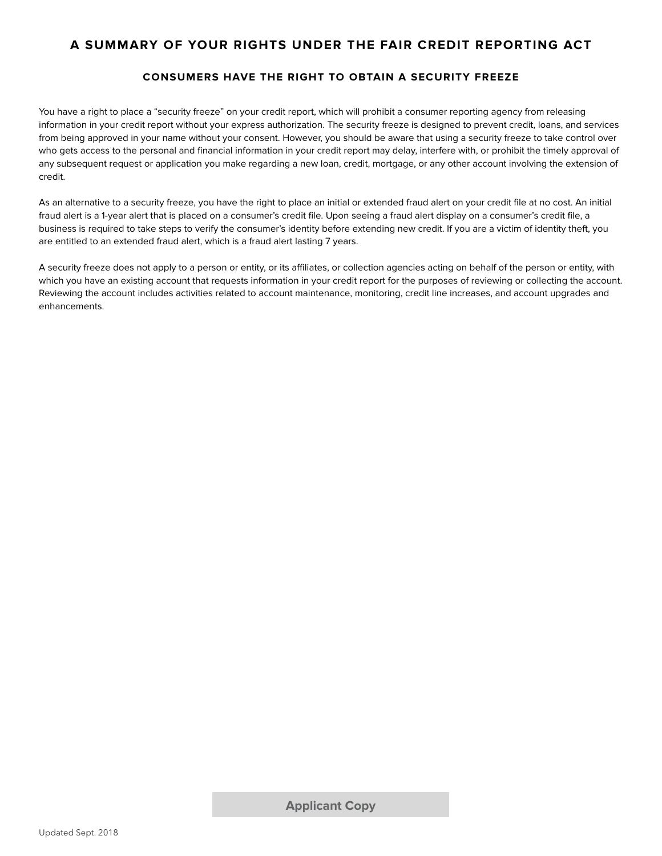#### **A SUMMARY OF YOUR RIGHTS UNDER THE FAIR CREDIT REPORTING ACT**

#### **CONSUMERS HAVE THE RIGHT TO OBTAIN A SECURITY FREEZE**

You have a right to place a "security freeze" on your credit report, which will prohibit a consumer reporting agency from releasing information in your credit report without your express authorization. The security freeze is designed to prevent credit, loans, and services from being approved in your name without your consent. However, you should be aware that using a security freeze to take control over who gets access to the personal and financial information in your credit report may delay, interfere with, or prohibit the timely approval of any subsequent request or application you make regarding a new loan, credit, mortgage, or any other account involving the extension of credit.

As an alternative to a security freeze, you have the right to place an initial or extended fraud alert on your credit file at no cost. An initial fraud alert is a 1-year alert that is placed on a consumer's credit file. Upon seeing a fraud alert display on a consumer's credit file, a business is required to take steps to verify the consumer's identity before extending new credit. If you are a victim of identity theft, you are entitled to an extended fraud alert, which is a fraud alert lasting 7 years.

A security freeze does not apply to a person or entity, or its affiliates, or collection agencies acting on behalf of the person or entity, with which you have an existing account that requests information in your credit report for the purposes of reviewing or collecting the account. Reviewing the account includes activities related to account maintenance, monitoring, credit line increases, and account upgrades and enhancements.

**Applicant Copy**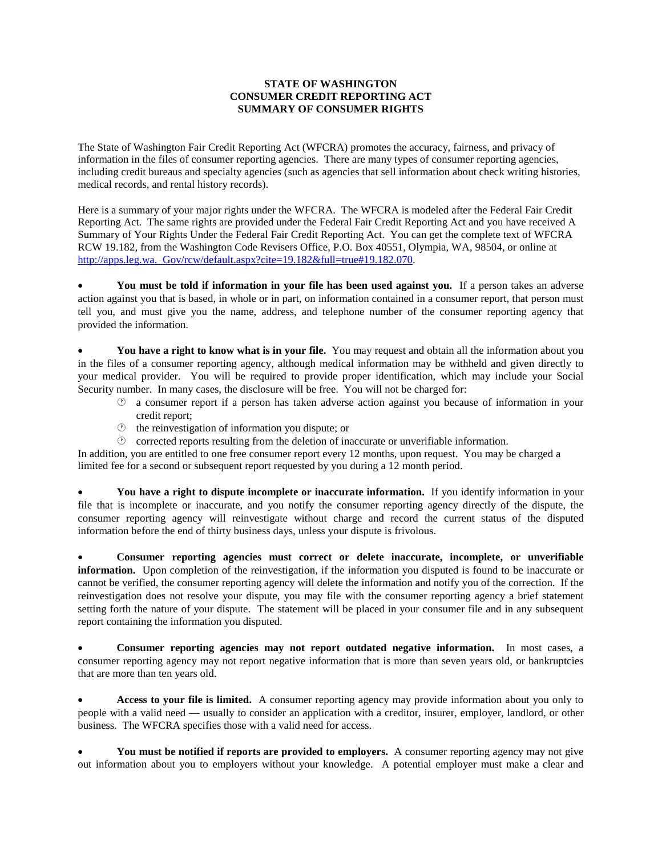#### **STATE OF WASHINGTON CONSUMER CREDIT REPORTING ACT SUMMARY OF CONSUMER RIGHTS**

The State of Washington Fair Credit Reporting Act (WFCRA) promotes the accuracy, fairness, and privacy of information in the files of consumer reporting agencies. There are many types of consumer reporting agencies, including credit bureaus and specialty agencies (such as agencies that sell information about check writing histories, medical records, and rental history records).

Here is a summary of your major rights under the WFCRA. The WFCRA is modeled after the Federal Fair Credit Reporting Act. The same rights are provided under the Federal Fair Credit Reporting Act and you have received A Summary of Your Rights Under the Federal Fair Credit Reporting Act. You can get the complete text of WFCRA RCW 19.182, from the Washington Code Revisers Office, P.O. Box 40551, Olympia, WA, 98504, or online at http://apps.leg.wa. Gov/rcw/default.aspx?cite=19.182&full=true#19.182.070.

• **You must be told if information in your file has been used against you.** If a person takes an adverse action against you that is based, in whole or in part, on information contained in a consumer report, that person must tell you, and must give you the name, address, and telephone number of the consumer reporting agency that provided the information.

• **You have a right to know what is in your file.** You may request and obtain all the information about you in the files of a consumer reporting agency, although medical information may be withheld and given directly to your medical provider. You will be required to provide proper identification, which may include your Social Security number. In many cases, the disclosure will be free. You will not be charged for:

- a consumer report if a person has taken adverse action against you because of information in your credit report;
- $\circled{1}$  the reinvestigation of information you dispute; or
- $\circled{c}$  corrected reports resulting from the deletion of inaccurate or unverifiable information.

In addition, you are entitled to one free consumer report every 12 months, upon request. You may be charged a limited fee for a second or subsequent report requested by you during a 12 month period.

• **You have a right to dispute incomplete or inaccurate information.** If you identify information in your file that is incomplete or inaccurate, and you notify the consumer reporting agency directly of the dispute, the consumer reporting agency will reinvestigate without charge and record the current status of the disputed information before the end of thirty business days, unless your dispute is frivolous.

• **Consumer reporting agencies must correct or delete inaccurate, incomplete, or unverifiable information.** Upon completion of the reinvestigation, if the information you disputed is found to be inaccurate or cannot be verified, the consumer reporting agency will delete the information and notify you of the correction. If the reinvestigation does not resolve your dispute, you may file with the consumer reporting agency a brief statement setting forth the nature of your dispute. The statement will be placed in your consumer file and in any subsequent report containing the information you disputed.

• **Consumer reporting agencies may not report outdated negative information.** In most cases, a consumer reporting agency may not report negative information that is more than seven years old, or bankruptcies that are more than ten years old.

• **Access to your file is limited.** A consumer reporting agency may provide information about you only to people with a valid need — usually to consider an application with a creditor, insurer, employer, landlord, or other business. The WFCRA specifies those with a valid need for access.

• **You must be notified if reports are provided to employers.** A consumer reporting agency may not give out information about you to employers without your knowledge. A potential employer must make a clear and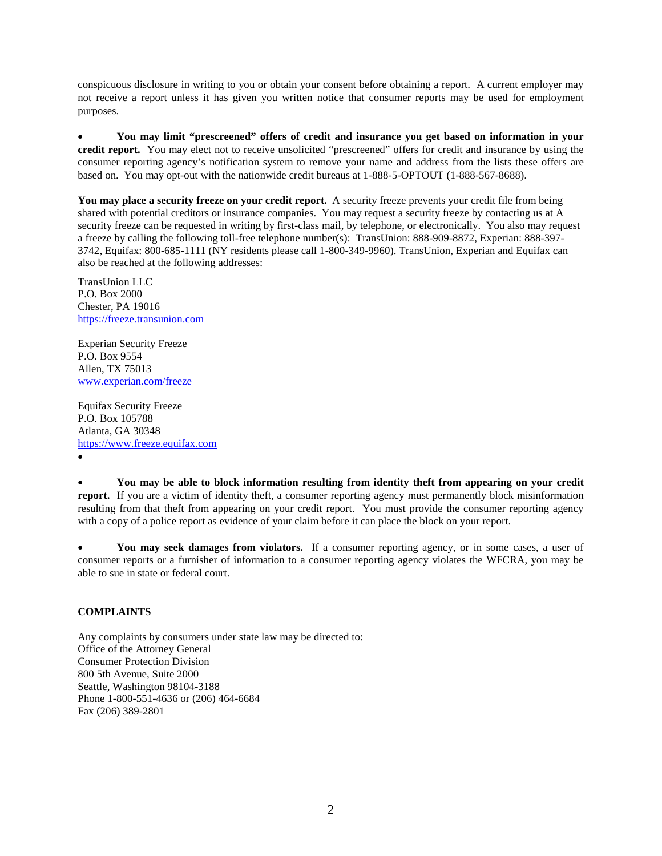conspicuous disclosure in writing to you or obtain your consent before obtaining a report. A current employer may not receive a report unless it has given you written notice that consumer reports may be used for employment purposes.

• **You may limit "prescreened" offers of credit and insurance you get based on information in your credit report.** You may elect not to receive unsolicited "prescreened" offers for credit and insurance by using the consumer reporting agency's notification system to remove your name and address from the lists these offers are based on. You may opt-out with the nationwide credit bureaus at 1-888-5-OPTOUT (1-888-567-8688).

**You may place a security freeze on your credit report.** A security freeze prevents your credit file from being shared with potential creditors or insurance companies. You may request a security freeze by contacting us at A security freeze can be requested in writing by first-class mail, by telephone, or electronically. You also may request a freeze by calling the following toll-free telephone number(s): TransUnion: 888-909-8872, Experian: 888-397- 3742, Equifax: 800-685-1111 (NY residents please call 1-800-349-9960). TransUnion, Experian and Equifax can also be reached at the following addresses:

TransUnion LLC P.O. Box 2000 Chester, PA 19016 [https://freeze.transunion.com](https://freeze.transunion.com/sf/securityFreeze/landingPage.jsp)

Experian Security Freeze P.O. Box 9554 Allen, TX 75013 [www.experian.com/freeze](http://www.experian.com/freeze)

Equifax Security Freeze P.O. Box 105788 Atlanta, GA 30348 [https://www.freeze.equifax.com](https://www.freeze.equifax.com/) •

• **You may be able to block information resulting from identity theft from appearing on your credit report.** If you are a victim of identity theft, a consumer reporting agency must permanently block misinformation resulting from that theft from appearing on your credit report. You must provide the consumer reporting agency with a copy of a police report as evidence of your claim before it can place the block on your report.

• **You may seek damages from violators.** If a consumer reporting agency, or in some cases, a user of consumer reports or a furnisher of information to a consumer reporting agency violates the WFCRA, you may be able to sue in state or federal court.

#### **COMPLAINTS**

Any complaints by consumers under state law may be directed to: Office of the Attorney General Consumer Protection Division 800 5th Avenue, Suite 2000 Seattle, Washington 98104-3188 Phone 1-800-551-4636 or (206) 464-6684 Fax (206) 389-2801